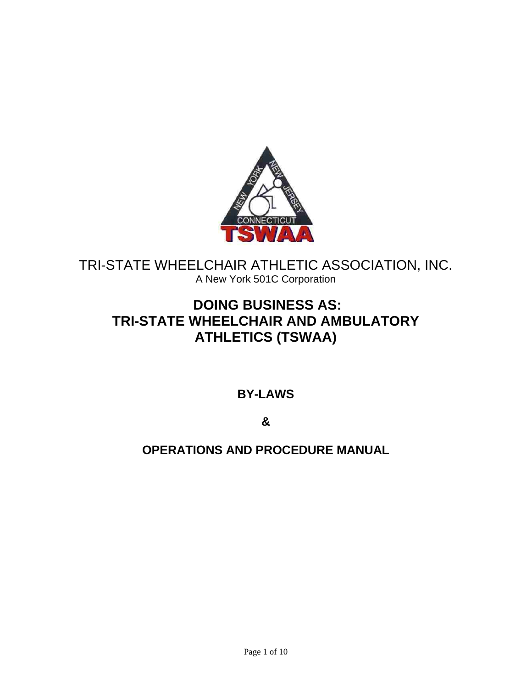

# TRI-STATE WHEELCHAIR ATHLETIC ASSOCIATION, INC. A New York 501C Corporation

# **DOING BUSINESS AS: TRI-STATE WHEELCHAIR AND AMBULATORY ATHLETICS (TSWAA)**

## **BY-LAWS**

**&**

## **OPERATIONS AND PROCEDURE MANUAL**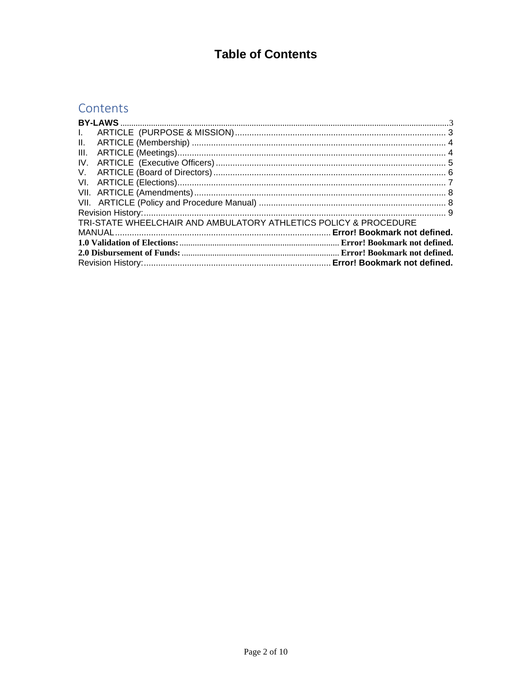# **Table of Contents**

# Contents

| $\mathbf{L}$                                                     |  |  |  |  |  |  |
|------------------------------------------------------------------|--|--|--|--|--|--|
| II.                                                              |  |  |  |  |  |  |
|                                                                  |  |  |  |  |  |  |
|                                                                  |  |  |  |  |  |  |
|                                                                  |  |  |  |  |  |  |
|                                                                  |  |  |  |  |  |  |
|                                                                  |  |  |  |  |  |  |
|                                                                  |  |  |  |  |  |  |
|                                                                  |  |  |  |  |  |  |
| TRI-STATE WHEELCHAIR AND AMBULATORY ATHLETICS POLICY & PROCEDURE |  |  |  |  |  |  |
|                                                                  |  |  |  |  |  |  |
|                                                                  |  |  |  |  |  |  |
|                                                                  |  |  |  |  |  |  |
|                                                                  |  |  |  |  |  |  |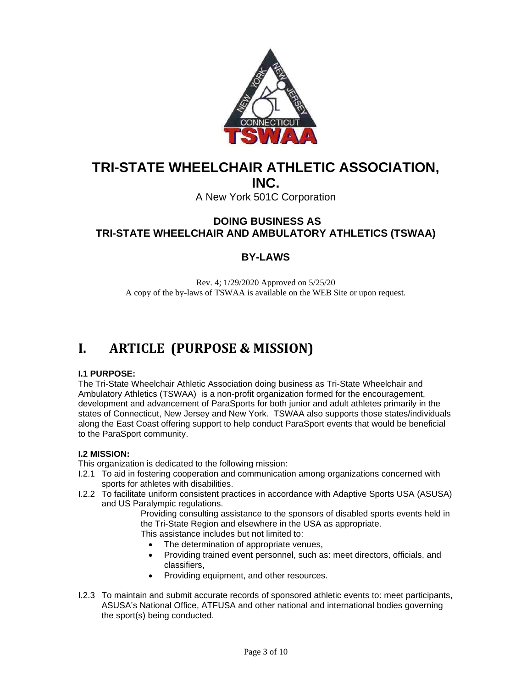

# **TRI-STATE WHEELCHAIR ATHLETIC ASSOCIATION,**

**INC.**

A New York 501C Corporation

### <span id="page-2-0"></span>**DOING BUSINESS AS TRI-STATE WHEELCHAIR AND AMBULATORY ATHLETICS (TSWAA)**

### **BY-LAWS**

Rev. 4; 1/29/2020 Approved on 5/25/20 A copy of the by-laws of TSWAA is available on the WEB Site or upon request.

# <span id="page-2-1"></span>**I. ARTICLE (PURPOSE & MISSION)**

### **I.1 PURPOSE:**

The Tri-State Wheelchair Athletic Association doing business as Tri-State Wheelchair and Ambulatory Athletics (TSWAA) is a non-profit organization formed for the encouragement, development and advancement of ParaSports for both junior and adult athletes primarily in the states of Connecticut, New Jersey and New York. TSWAA also supports those states/individuals along the East Coast offering support to help conduct ParaSport events that would be beneficial to the ParaSport community.

### **I.2 MISSION:**

This organization is dedicated to the following mission:

- I.2.1 To aid in fostering cooperation and communication among organizations concerned with sports for athletes with disabilities.
- I.2.2 To facilitate uniform consistent practices in accordance with Adaptive Sports USA (ASUSA) and US Paralympic regulations.

Providing consulting assistance to the sponsors of disabled sports events held in the Tri-State Region and elsewhere in the USA as appropriate. This assistance includes but not limited to:

- The determination of appropriate venues,
- Providing trained event personnel, such as: meet directors, officials, and classifiers,
- Providing equipment, and other resources.
- I.2.3 To maintain and submit accurate records of sponsored athletic events to: meet participants, ASUSA's National Office, ATFUSA and other national and international bodies governing the sport(s) being conducted.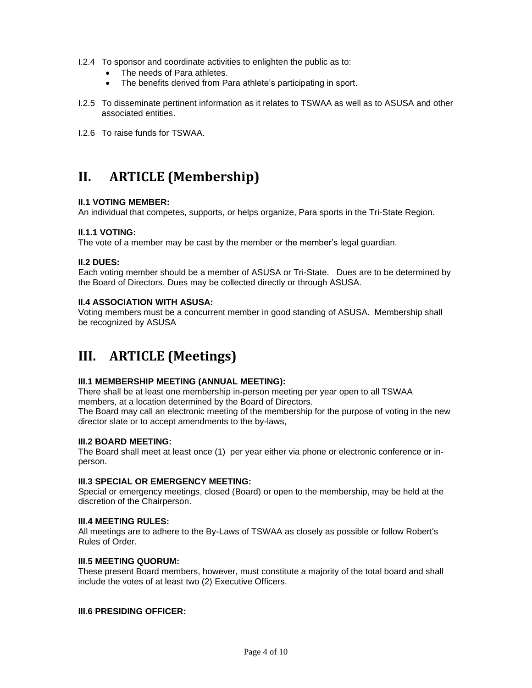- I.2.4 To sponsor and coordinate activities to enlighten the public as to:
	- The needs of Para athletes.
	- The benefits derived from Para athlete's participating in sport.
- I.2.5 To disseminate pertinent information as it relates to TSWAA as well as to ASUSA and other associated entities.
- I.2.6 To raise funds for TSWAA.

# <span id="page-3-0"></span>**II. ARTICLE (Membership)**

#### **II.1 VOTING MEMBER:**

An individual that competes, supports, or helps organize, Para sports in the Tri-State Region.

#### **II.1.1 VOTING:**

The vote of a member may be cast by the member or the member's legal guardian.

#### **II.2 DUES:**

Each voting member should be a member of ASUSA or Tri-State. Dues are to be determined by the Board of Directors. Dues may be collected directly or through ASUSA.

#### **II.4 ASSOCIATION WITH ASUSA:**

Voting members must be a concurrent member in good standing of ASUSA. Membership shall be recognized by ASUSA

# <span id="page-3-1"></span>**III. ARTICLE (Meetings)**

#### **III.1 MEMBERSHIP MEETING (ANNUAL MEETING):**

There shall be at least one membership in-person meeting per year open to all TSWAA members, at a location determined by the Board of Directors.

The Board may call an electronic meeting of the membership for the purpose of voting in the new director slate or to accept amendments to the by-laws,

### **III.2 BOARD MEETING:**

The Board shall meet at least once (1) per year either via phone or electronic conference or inperson.

#### **III.3 SPECIAL OR EMERGENCY MEETING:**

Special or emergency meetings, closed (Board) or open to the membership, may be held at the discretion of the Chairperson.

#### **III.4 MEETING RULES:**

All meetings are to adhere to the By-Laws of TSWAA as closely as possible or follow Robert's Rules of Order.

#### **III.5 MEETING QUORUM:**

These present Board members, however, must constitute a majority of the total board and shall include the votes of at least two (2) Executive Officers.

#### **III.6 PRESIDING OFFICER:**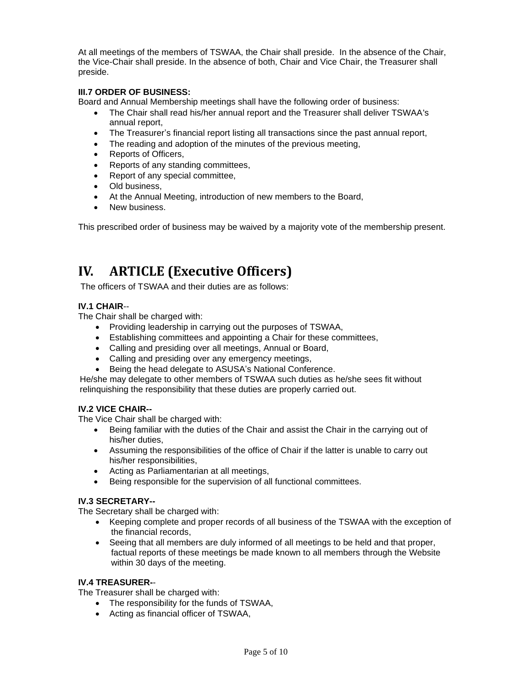At all meetings of the members of TSWAA, the Chair shall preside. In the absence of the Chair, the Vice-Chair shall preside. In the absence of both, Chair and Vice Chair, the Treasurer shall preside.

### **III.7 ORDER OF BUSINESS:**

Board and Annual Membership meetings shall have the following order of business:

- The Chair shall read his/her annual report and the Treasurer shall deliver TSWAA's annual report,
- The Treasurer's financial report listing all transactions since the past annual report,
- The reading and adoption of the minutes of the previous meeting,
- Reports of Officers,
- Reports of any standing committees,
- Report of any special committee,
- Old business,
- At the Annual Meeting, introduction of new members to the Board,
- New business.

This prescribed order of business may be waived by a majority vote of the membership present.

# <span id="page-4-0"></span>**IV. ARTICLE (Executive Officers)**

The officers of TSWAA and their duties are as follows:

### **IV.1 CHAIR**--

The Chair shall be charged with:

- Providing leadership in carrying out the purposes of TSWAA,
- Establishing committees and appointing a Chair for these committees,
- Calling and presiding over all meetings, Annual or Board,
- Calling and presiding over any emergency meetings,
- Being the head delegate to ASUSA's National Conference.

He/she may delegate to other members of TSWAA such duties as he/she sees fit without relinquishing the responsibility that these duties are properly carried out.

### **IV.2 VICE CHAIR--**

The Vice Chair shall be charged with:

- Being familiar with the duties of the Chair and assist the Chair in the carrying out of his/her duties,
- Assuming the responsibilities of the office of Chair if the latter is unable to carry out his/her responsibilities,
- Acting as Parliamentarian at all meetings,
- Being responsible for the supervision of all functional committees.

### **IV.3 SECRETARY--**

The Secretary shall be charged with:

- Keeping complete and proper records of all business of the TSWAA with the exception of the financial records,
- Seeing that all members are duly informed of all meetings to be held and that proper, factual reports of these meetings be made known to all members through the Website within 30 days of the meeting.

### **IV.4 TREASURER-**-

The Treasurer shall be charged with:

- The responsibility for the funds of TSWAA,
- Acting as financial officer of TSWAA,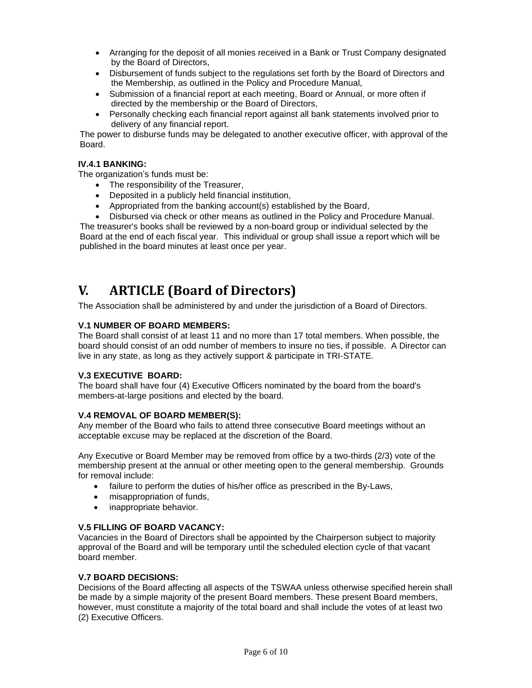- Arranging for the deposit of all monies received in a Bank or Trust Company designated by the Board of Directors,
- Disbursement of funds subject to the regulations set forth by the Board of Directors and the Membership, as outlined in the Policy and Procedure Manual,
- Submission of a financial report at each meeting, Board or Annual, or more often if directed by the membership or the Board of Directors,
- Personally checking each financial report against all bank statements involved prior to delivery of any financial report.

The power to disburse funds may be delegated to another executive officer, with approval of the Board.

#### **IV.4.1 BANKING:**

The organization's funds must be:

- The responsibility of the Treasurer,
- Deposited in a publicly held financial institution,
- Appropriated from the banking account(s) established by the Board,
- Disbursed via check or other means as outlined in the Policy and Procedure Manual.

The treasurer's books shall be reviewed by a non-board group or individual selected by the Board at the end of each fiscal year. This individual or group shall issue a report which will be published in the board minutes at least once per year.

# <span id="page-5-0"></span>**V. ARTICLE (Board of Directors)**

The Association shall be administered by and under the jurisdiction of a Board of Directors.

#### **V.1 NUMBER OF BOARD MEMBERS:**

The Board shall consist of at least 11 and no more than 17 total members. When possible, the board should consist of an odd number of members to insure no ties, if possible. A Director can live in any state, as long as they actively support & participate in TRI-STATE.

### **V.3 EXECUTIVE BOARD:**

The board shall have four (4) Executive Officers nominated by the board from the board's members-at-large positions and elected by the board.

### **V.4 REMOVAL OF BOARD MEMBER(S):**

Any member of the Board who fails to attend three consecutive Board meetings without an acceptable excuse may be replaced at the discretion of the Board.

Any Executive or Board Member may be removed from office by a two-thirds (2/3) vote of the membership present at the annual or other meeting open to the general membership. Grounds for removal include:

- failure to perform the duties of his/her office as prescribed in the By-Laws,
- misappropriation of funds,
- inappropriate behavior.

#### **V.5 FILLING OF BOARD VACANCY:**

Vacancies in the Board of Directors shall be appointed by the Chairperson subject to majority approval of the Board and will be temporary until the scheduled election cycle of that vacant board member.

#### **V.7 BOARD DECISIONS:**

Decisions of the Board affecting all aspects of the TSWAA unless otherwise specified herein shall be made by a simple majority of the present Board members. These present Board members, however, must constitute a majority of the total board and shall include the votes of at least two (2) Executive Officers.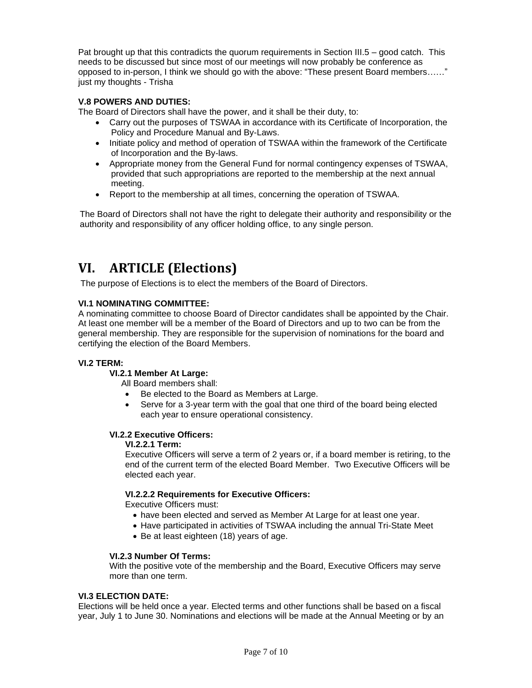Pat brought up that this contradicts the quorum requirements in Section III.5 – good catch. This needs to be discussed but since most of our meetings will now probably be conference as opposed to in-person, I think we should go with the above: "These present Board members……" just my thoughts - Trisha

### **V.8 POWERS AND DUTIES:**

The Board of Directors shall have the power, and it shall be their duty, to:

- Carry out the purposes of TSWAA in accordance with its Certificate of Incorporation, the Policy and Procedure Manual and By-Laws.
- Initiate policy and method of operation of TSWAA within the framework of the Certificate of Incorporation and the By-laws.
- Appropriate money from the General Fund for normal contingency expenses of TSWAA, provided that such appropriations are reported to the membership at the next annual meeting.
- Report to the membership at all times, concerning the operation of TSWAA.

The Board of Directors shall not have the right to delegate their authority and responsibility or the authority and responsibility of any officer holding office, to any single person.

# <span id="page-6-0"></span>**VI. ARTICLE (Elections)**

The purpose of Elections is to elect the members of the Board of Directors.

#### **VI.1 NOMINATING COMMITTEE:**

A nominating committee to choose Board of Director candidates shall be appointed by the Chair. At least one member will be a member of the Board of Directors and up to two can be from the general membership. They are responsible for the supervision of nominations for the board and certifying the election of the Board Members.

#### **VI.2 TERM:**

#### **VI.2.1 Member At Large:**

All Board members shall:

- Be elected to the Board as Members at Large.
- Serve for a 3-year term with the goal that one third of the board being elected each year to ensure operational consistency.

### **VI.2.2 Executive Officers:**

#### **VI.2.2.1 Term:**

Executive Officers will serve a term of 2 years or, if a board member is retiring, to the end of the current term of the elected Board Member. Two Executive Officers will be elected each year.

#### **VI.2.2.2 Requirements for Executive Officers:**

Executive Officers must:

- have been elected and served as Member At Large for at least one year.
- Have participated in activities of TSWAA including the annual Tri-State Meet
- Be at least eighteen (18) years of age.

#### **VI.2.3 Number Of Terms:**

With the positive vote of the membership and the Board, Executive Officers may serve more than one term.

#### **VI.3 ELECTION DATE:**

Elections will be held once a year. Elected terms and other functions shall be based on a fiscal year, July 1 to June 30. Nominations and elections will be made at the Annual Meeting or by an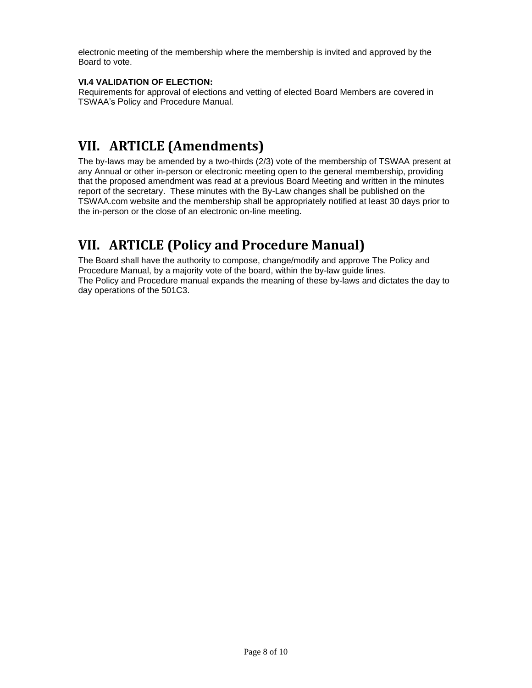electronic meeting of the membership where the membership is invited and approved by the Board to vote.

### **VI.4 VALIDATION OF ELECTION:**

Requirements for approval of elections and vetting of elected Board Members are covered in TSWAA's Policy and Procedure Manual.

# <span id="page-7-0"></span>**VII. ARTICLE (Amendments)**

The by-laws may be amended by a two-thirds (2/3) vote of the membership of TSWAA present at any Annual or other in-person or electronic meeting open to the general membership, providing that the proposed amendment was read at a previous Board Meeting and written in the minutes report of the secretary. These minutes with the By-Law changes shall be published on the TSWAA.com website and the membership shall be appropriately notified at least 30 days prior to the in-person or the close of an electronic on-line meeting.

# <span id="page-7-1"></span>**VII. ARTICLE (Policy and Procedure Manual)**

The Board shall have the authority to compose, change/modify and approve The Policy and Procedure Manual, by a majority vote of the board, within the by-law guide lines. The Policy and Procedure manual expands the meaning of these by-laws and dictates the day to day operations of the 501C3.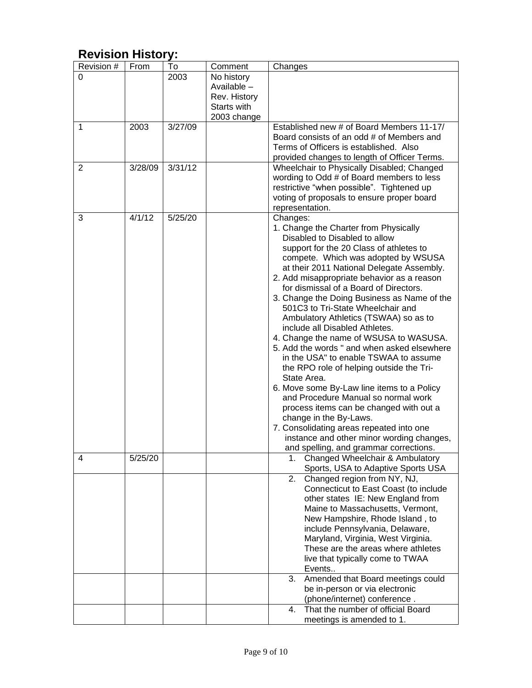| י ע ושוטורו ווואוטווא א |         |         |              |                                              |
|-------------------------|---------|---------|--------------|----------------------------------------------|
| Revision #              | From    | To      | Comment      | Changes                                      |
| 0                       |         | 2003    | No history   |                                              |
|                         |         |         | Available -  |                                              |
|                         |         |         | Rev. History |                                              |
|                         |         |         | Starts with  |                                              |
|                         |         |         | 2003 change  |                                              |
| 1                       | 2003    | 3/27/09 |              | Established new # of Board Members 11-17/    |
|                         |         |         |              | Board consists of an odd # of Members and    |
|                         |         |         |              | Terms of Officers is established. Also       |
|                         |         |         |              | provided changes to length of Officer Terms. |
| 2                       | 3/28/09 | 3/31/12 |              | Wheelchair to Physically Disabled; Changed   |
|                         |         |         |              | wording to Odd # of Board members to less    |
|                         |         |         |              | restrictive "when possible". Tightened up    |
|                         |         |         |              | voting of proposals to ensure proper board   |
|                         |         |         |              | representation.                              |
| 3                       | 4/1/12  | 5/25/20 |              | Changes:                                     |
|                         |         |         |              | 1. Change the Charter from Physically        |
|                         |         |         |              | Disabled to Disabled to allow                |
|                         |         |         |              | support for the 20 Class of athletes to      |
|                         |         |         |              | compete. Which was adopted by WSUSA          |
|                         |         |         |              | at their 2011 National Delegate Assembly.    |
|                         |         |         |              | 2. Add misappropriate behavior as a reason   |
|                         |         |         |              | for dismissal of a Board of Directors.       |
|                         |         |         |              | 3. Change the Doing Business as Name of the  |
|                         |         |         |              | 501C3 to Tri-State Wheelchair and            |
|                         |         |         |              |                                              |
|                         |         |         |              | Ambulatory Athletics (TSWAA) so as to        |
|                         |         |         |              | include all Disabled Athletes.               |
|                         |         |         |              | 4. Change the name of WSUSA to WASUSA.       |
|                         |         |         |              | 5. Add the words " and when asked elsewhere  |
|                         |         |         |              | in the USA" to enable TSWAA to assume        |
|                         |         |         |              | the RPO role of helping outside the Tri-     |
|                         |         |         |              | State Area.                                  |
|                         |         |         |              | 6. Move some By-Law line items to a Policy   |
|                         |         |         |              | and Procedure Manual so normal work          |
|                         |         |         |              | process items can be changed with out a      |
|                         |         |         |              | change in the By-Laws.                       |
|                         |         |         |              | 7. Consolidating areas repeated into one     |
|                         |         |         |              | instance and other minor wording changes,    |
|                         |         |         |              | and spelling, and grammar corrections.       |
| 4                       | 5/25/20 |         |              | Changed Wheelchair & Ambulatory<br>1.        |
|                         |         |         |              | Sports, USA to Adaptive Sports USA           |
|                         |         |         |              | Changed region from NY, NJ,<br>2.            |
|                         |         |         |              | Connecticut to East Coast (to include        |
|                         |         |         |              | other states IE: New England from            |
|                         |         |         |              | Maine to Massachusetts, Vermont,             |
|                         |         |         |              | New Hampshire, Rhode Island, to              |
|                         |         |         |              | include Pennsylvania, Delaware,              |
|                         |         |         |              | Maryland, Virginia, West Virginia.           |
|                         |         |         |              | These are the areas where athletes           |
|                         |         |         |              | live that typically come to TWAA             |
|                         |         |         |              | Events                                       |
|                         |         |         |              | Amended that Board meetings could<br>3.      |
|                         |         |         |              | be in-person or via electronic               |
|                         |         |         |              | (phone/internet) conference.                 |
|                         |         |         |              | That the number of official Board<br>4.      |
|                         |         |         |              | meetings is amended to 1.                    |

## <span id="page-8-0"></span>**Revision History:**